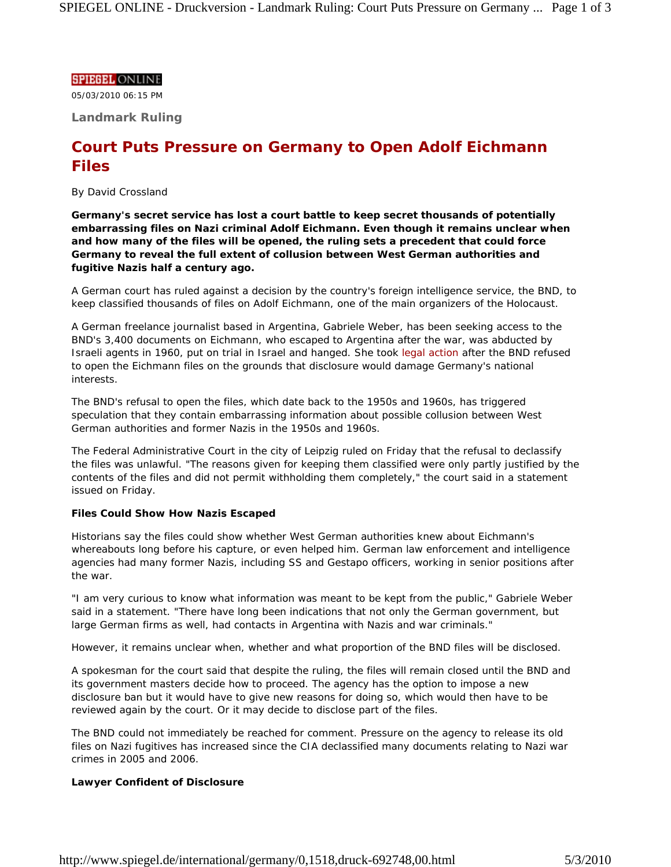## **SPIEGEL ONLINE**

05/03/2010 06:15 PM

**Landmark Ruling**

# **Court Puts Pressure on Germany to Open Adolf Eichmann Files**

## *By David Crossland*

**Germany's secret service has lost a court battle to keep secret thousands of potentially embarrassing files on Nazi criminal Adolf Eichmann. Even though it remains unclear when and how many of the files will be opened, the ruling sets a precedent that could force Germany to reveal the full extent of collusion between West German authorities and fugitive Nazis half a century ago.**

A German court has ruled against a decision by the country's foreign intelligence service, the BND, to keep classified thousands of files on Adolf Eichmann, one of the main organizers of the Holocaust.

A German freelance journalist based in Argentina, Gabriele Weber, has been seeking access to the BND's 3,400 documents on Eichmann, who escaped to Argentina after the war, was abducted by Israeli agents in 1960, put on trial in Israel and hanged. She took legal action after the BND refused to open the Eichmann files on the grounds that disclosure would damage Germany's national interests.

The BND's refusal to open the files, which date back to the 1950s and 1960s, has triggered speculation that they contain embarrassing information about possible collusion between West German authorities and former Nazis in the 1950s and 1960s.

The Federal Administrative Court in the city of Leipzig ruled on Friday that the refusal to declassify the files was unlawful. "The reasons given for keeping them classified were only partly justified by the contents of the files and did not permit withholding them completely," the court said in a statement issued on Friday.

## **Files Could Show How Nazis Escaped**

Historians say the files could show whether West German authorities knew about Eichmann's whereabouts long before his capture, or even helped him. German law enforcement and intelligence agencies had many former Nazis, including SS and Gestapo officers, working in senior positions after the war.

"I am very curious to know what information was meant to be kept from the public," Gabriele Weber said in a statement. "There have long been indications that not only the German government, but large German firms as well, had contacts in Argentina with Nazis and war criminals."

However, it remains unclear when, whether and what proportion of the BND files will be disclosed.

A spokesman for the court said that despite the ruling, the files will remain closed until the BND and its government masters decide how to proceed. The agency has the option to impose a new disclosure ban but it would have to give new reasons for doing so, which would then have to be reviewed again by the court. Or it may decide to disclose part of the files.

The BND could not immediately be reached for comment. Pressure on the agency to release its old files on Nazi fugitives has increased since the CIA declassified many documents relating to Nazi war crimes in 2005 and 2006.

## **Lawyer Confident of Disclosure**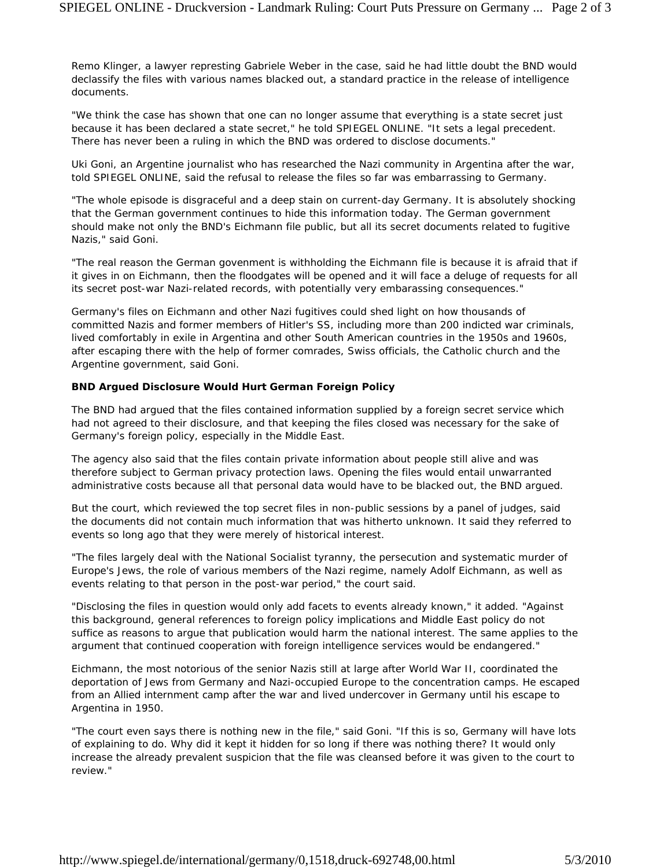Remo Klinger, a lawyer represting Gabriele Weber in the case, said he had little doubt the BND would declassify the files with various names blacked out, a standard practice in the release of intelligence documents.

"We think the case has shown that one can no longer assume that everything is a state secret just because it has been declared a state secret," he told SPIEGEL ONLINE. "It sets a legal precedent. There has never been a ruling in which the BND was ordered to disclose documents."

Uki Goni, an Argentine journalist who has researched the Nazi community in Argentina after the war, told SPIEGEL ONLINE, said the refusal to release the files so far was embarrassing to Germany.

"The whole episode is disgraceful and a deep stain on current-day Germany. It is absolutely shocking that the German government continues to hide this information today. The German government should make not only the BND's Eichmann file public, but all its secret documents related to fugitive Nazis," said Goni.

"The real reason the German govenment is withholding the Eichmann file is because it is afraid that if it gives in on Eichmann, then the floodgates will be opened and it will face a deluge of requests for all its secret post-war Nazi-related records, with potentially very embarassing consequences."

Germany's files on Eichmann and other Nazi fugitives could shed light on how thousands of committed Nazis and former members of Hitler's SS, including more than 200 indicted war criminals, lived comfortably in exile in Argentina and other South American countries in the 1950s and 1960s, after escaping there with the help of former comrades, Swiss officials, the Catholic church and the Argentine government, said Goni.

## **BND Argued Disclosure Would Hurt German Foreign Policy**

The BND had argued that the files contained information supplied by a foreign secret service which had not agreed to their disclosure, and that keeping the files closed was necessary for the sake of Germany's foreign policy, especially in the Middle East.

The agency also said that the files contain private information about people still alive and was therefore subject to German privacy protection laws. Opening the files would entail unwarranted administrative costs because all that personal data would have to be blacked out, the BND argued.

But the court, which reviewed the top secret files in non-public sessions by a panel of judges, said the documents did not contain much information that was hitherto unknown. It said they referred to events so long ago that they were merely of historical interest.

"The files largely deal with the National Socialist tyranny, the persecution and systematic murder of Europe's Jews, the role of various members of the Nazi regime, namely Adolf Eichmann, as well as events relating to that person in the post-war period," the court said.

"Disclosing the files in question would only add facets to events already known," it added. "Against this background, general references to foreign policy implications and Middle East policy do not suffice as reasons to argue that publication would harm the national interest. The same applies to the argument that continued cooperation with foreign intelligence services would be endangered."

Eichmann, the most notorious of the senior Nazis still at large after World War II, coordinated the deportation of Jews from Germany and Nazi-occupied Europe to the concentration camps. He escaped from an Allied internment camp after the war and lived undercover in Germany until his escape to Argentina in 1950.

"The court even says there is nothing new in the file," said Goni. "If this is so, Germany will have lots of explaining to do. Why did it kept it hidden for so long if there was nothing there? It would only increase the already prevalent suspicion that the file was cleansed before it was given to the court to review."